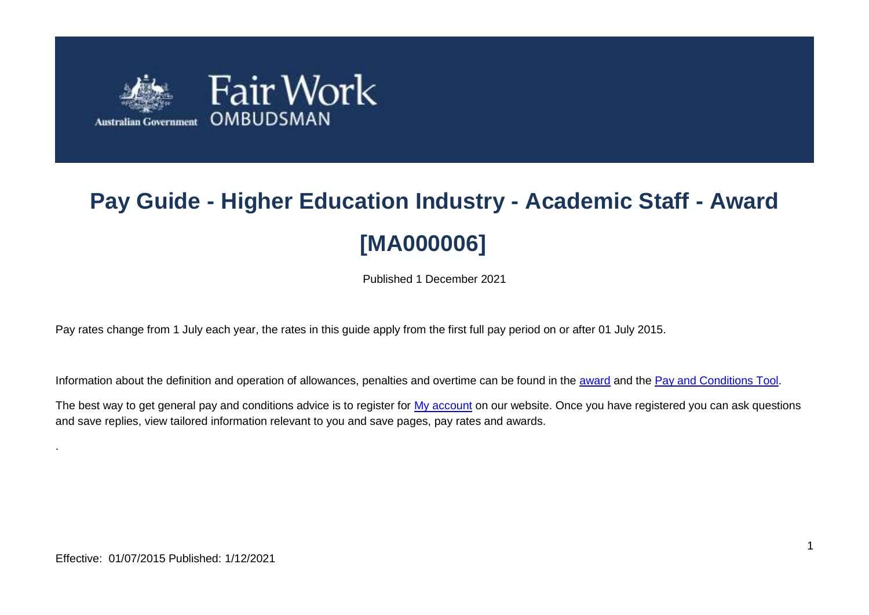

# **Pay Guide - Higher Education Industry - Academic Staff - Award [MA000006]**

Published 1 December 2021

Pay rates change from 1 July each year, the rates in this guide apply from the first full pay period on or after 01 July 2015.

Information about the definition and operation of allowances, penalties and overtime can be found in the [award](https://www.fairwork.gov.au/awards-and-agreements/awards/list-of-awards) and the [Pay and Conditions Tool.](https://calculate.fairwork.gov.au/)

The best way to get general pay and conditions advice is to register for [My account](https://www.fairwork.gov.au/my-account/registerpage.aspx) on our website. Once you have registered you can ask questions and save replies, view tailored information relevant to you and save pages, pay rates and awards.

.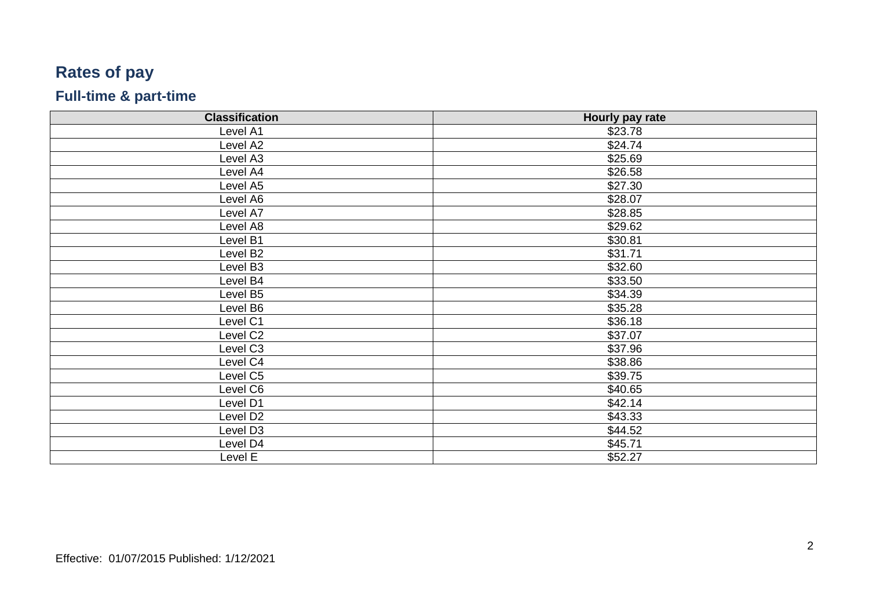## **Rates of pay**

#### **Full -time & part -time**

| <b>Classification</b> | Hourly pay rate |
|-----------------------|-----------------|
| Level A1              | \$23.78         |
| Level A2              | \$24.74         |
| Level A3              | \$25.69         |
| Level A4              | \$26.58         |
| Level A5              | \$27.30         |
| Level A6              | \$28.07         |
| Level A7              | \$28.85         |
| Level A8              | \$29.62         |
| Level B1              | \$30.81         |
| Level B2              | \$31.71         |
| Level B3              | \$32.60         |
| Level B4              | \$33.50         |
| Level B5              | \$34.39         |
| Level B6              | \$35.28         |
| Level C1              | \$36.18         |
| Level C2              | \$37.07         |
| Level C3              | \$37.96         |
| Level C4              | \$38.86         |
| Level C5              | \$39.75         |
| Level C6              | \$40.65         |
| Level D1              | \$42.14         |
| Level D <sub>2</sub>  | \$43.33         |
| Level D <sub>3</sub>  | \$44.52         |
| Level D4              | \$45.71         |
| Level E               | \$52.27         |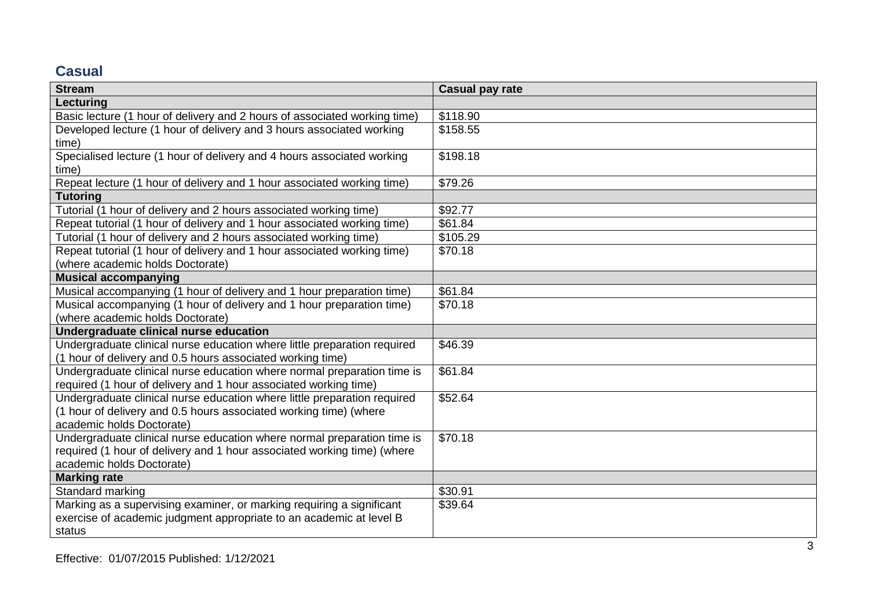### **Casual**

| <b>Stream</b>                                                             | <b>Casual pay rate</b> |
|---------------------------------------------------------------------------|------------------------|
| Lecturing                                                                 |                        |
| Basic lecture (1 hour of delivery and 2 hours of associated working time) | \$118.90               |
| Developed lecture (1 hour of delivery and 3 hours associated working      | \$158.55               |
| time)                                                                     |                        |
| Specialised lecture (1 hour of delivery and 4 hours associated working    | \$198.18               |
| time)                                                                     |                        |
| Repeat lecture (1 hour of delivery and 1 hour associated working time)    | \$79.26                |
| <b>Tutoring</b>                                                           |                        |
| Tutorial (1 hour of delivery and 2 hours associated working time)         | \$92.77                |
| Repeat tutorial (1 hour of delivery and 1 hour associated working time)   | \$61.84                |
| Tutorial (1 hour of delivery and 2 hours associated working time)         | \$105.29               |
| Repeat tutorial (1 hour of delivery and 1 hour associated working time)   | \$70.18                |
| (where academic holds Doctorate)                                          |                        |
| <b>Musical accompanying</b>                                               |                        |
| Musical accompanying (1 hour of delivery and 1 hour preparation time)     | \$61.84                |
| Musical accompanying (1 hour of delivery and 1 hour preparation time)     | \$70.18                |
| (where academic holds Doctorate)                                          |                        |
| Undergraduate clinical nurse education                                    |                        |
| Undergraduate clinical nurse education where little preparation required  | \$46.39                |
| (1 hour of delivery and 0.5 hours associated working time)                |                        |
| Undergraduate clinical nurse education where normal preparation time is   | \$61.84                |
| required (1 hour of delivery and 1 hour associated working time)          |                        |
| Undergraduate clinical nurse education where little preparation required  | \$52.64                |
| (1 hour of delivery and 0.5 hours associated working time) (where         |                        |
| academic holds Doctorate)                                                 |                        |
| Undergraduate clinical nurse education where normal preparation time is   | \$70.18                |
| required (1 hour of delivery and 1 hour associated working time) (where   |                        |
| academic holds Doctorate)                                                 |                        |
| <b>Marking rate</b>                                                       |                        |
| Standard marking                                                          | \$30.91                |
| Marking as a supervising examiner, or marking requiring a significant     | \$39.64                |
| exercise of academic judgment appropriate to an academic at level B       |                        |
| status                                                                    |                        |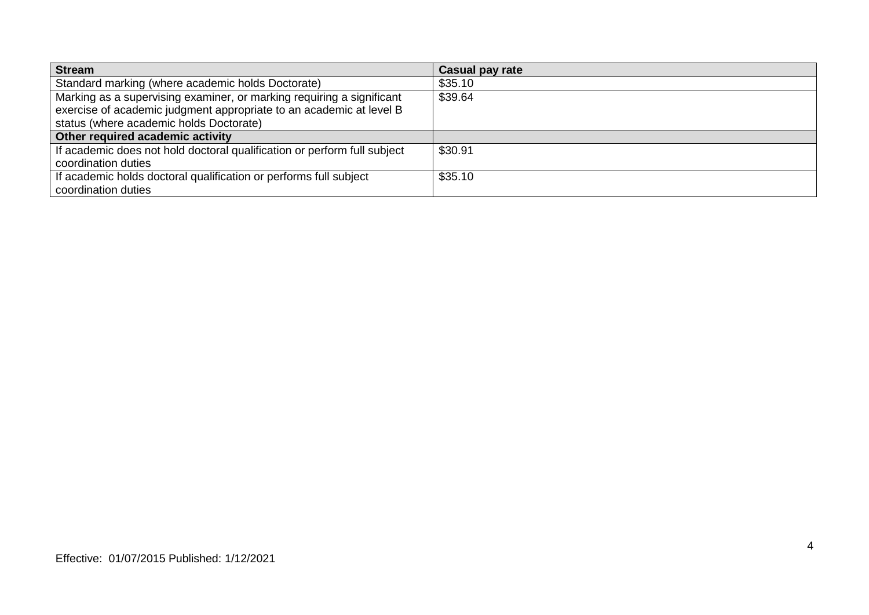| <b>Stream</b>                                                            | <b>Casual pay rate</b> |
|--------------------------------------------------------------------------|------------------------|
| Standard marking (where academic holds Doctorate)                        | \$35.10                |
| Marking as a supervising examiner, or marking requiring a significant    | \$39.64                |
| exercise of academic judgment appropriate to an academic at level B      |                        |
| status (where academic holds Doctorate)                                  |                        |
| Other required academic activity                                         |                        |
| If academic does not hold doctoral qualification or perform full subject | \$30.91                |
| coordination duties                                                      |                        |
| If academic holds doctoral qualification or performs full subject        | \$35.10                |
| coordination duties                                                      |                        |